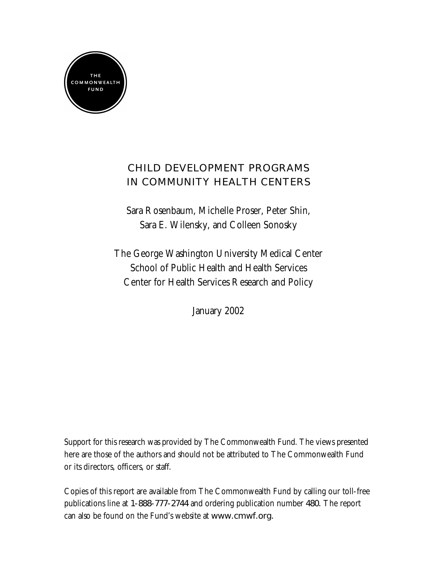

# **CHILD DEVELOPMENT PROGRAMS IN COMMUNITY HEALTH CENTERS**

Sara Rosenbaum, Michelle Proser, Peter Shin, Sara E. Wilensky, and Colleen Sonosky

The George Washington University Medical Center School of Public Health and Health Services Center for Health Services Research and Policy

January 2002

Support for this research was provided by The Commonwealth Fund. The views presented here are those of the authors and should not be attributed to The Commonwealth Fund or its directors, officers, or staff.

Copies of this report are available from The Commonwealth Fund by calling our toll-free publications line at **1-888-777-2744** and ordering publication number **480.** The report can also be found on the Fund's website at **www.cmwf.org.**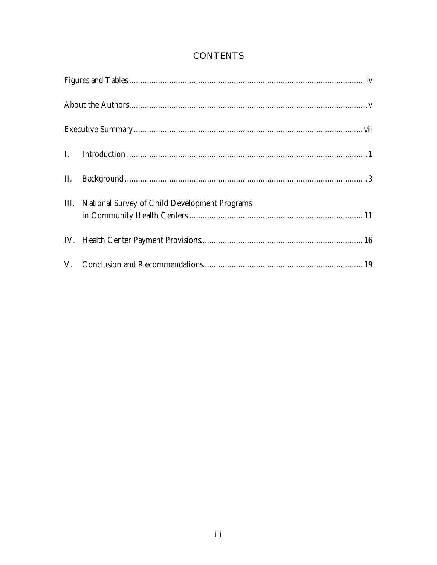| III. National Survey of Child Development Programs |
|----------------------------------------------------|
|                                                    |
|                                                    |

# **CONTENTS**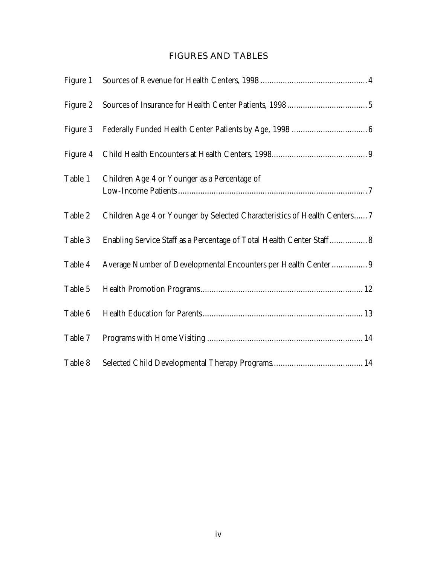# **FIGURES AND TABLES**

| Figure 1 |                                                                           |
|----------|---------------------------------------------------------------------------|
| Figure 2 |                                                                           |
| Figure 3 |                                                                           |
| Figure 4 |                                                                           |
| Table 1  | Children Age 4 or Younger as a Percentage of                              |
| Table 2  | Children Age 4 or Younger by Selected Characteristics of Health Centers 7 |
| Table 3  | Enabling Service Staff as a Percentage of Total Health Center Staff 8     |
| Table 4  | Average Number of Developmental Encounters per Health Center 9            |
| Table 5  |                                                                           |
| Table 6  |                                                                           |
| Table 7  |                                                                           |
| Table 8  |                                                                           |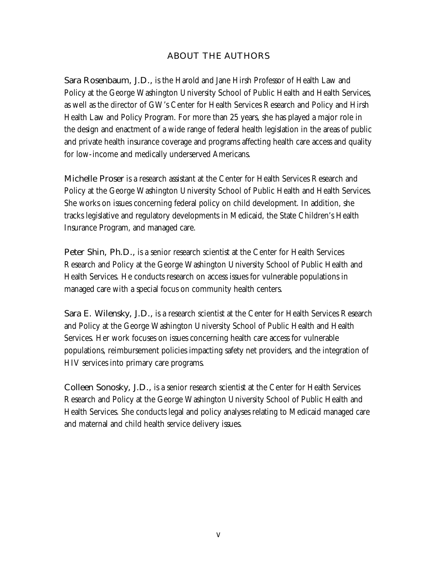### **ABOUT THE AUTHORS**

**Sara Rosenbaum, J.D.,** is the Harold and Jane Hirsh Professor of Health Law and Policy at the George Washington University School of Public Health and Health Services, as well as the director of GW's Center for Health Services Research and Policy and Hirsh Health Law and Policy Program. For more than 25 years, she has played a major role in the design and enactment of a wide range of federal health legislation in the areas of public and private health insurance coverage and programs affecting health care access and quality for low-income and medically underserved Americans.

**Michelle Proser** is a research assistant at the Center for Health Services Research and Policy at the George Washington University School of Public Health and Health Services. She works on issues concerning federal policy on child development. In addition, she tracks legislative and regulatory developments in Medicaid, the State Children's Health Insurance Program, and managed care.

Peter Shin, Ph.D., is a senior research scientist at the Center for Health Services Research and Policy at the George Washington University School of Public Health and Health Services. He conducts research on access issues for vulnerable populations in managed care with a special focus on community health centers.

Sara E. Wilensky, J.D., is a research scientist at the Center for Health Services Research and Policy at the George Washington University School of Public Health and Health Services. Her work focuses on issues concerning health care access for vulnerable populations, reimbursement policies impacting safety net providers, and the integration of HIV services into primary care programs.

**Colleen Sonosky, J.D.,** is a senior research scientist at the Center for Health Services Research and Policy at the George Washington University School of Public Health and Health Services. She conducts legal and policy analyses relating to Medicaid managed care and maternal and child health service delivery issues.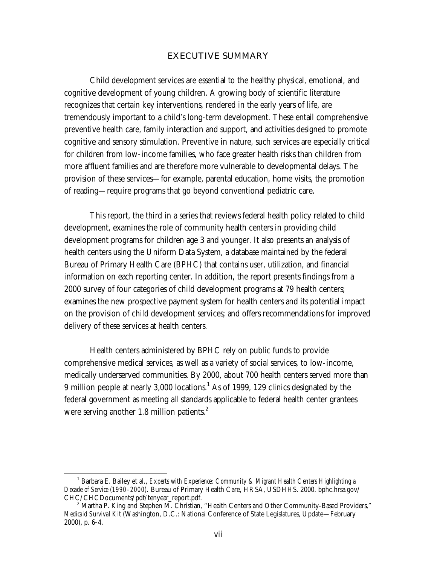#### **EXECUTIVE SUMMARY**

Child development services are essential to the healthy physical, emotional, and cognitive development of young children. A growing body of scientific literature recognizes that certain key interventions, rendered in the early years of life, are tremendously important to a child's long-term development. These entail comprehensive preventive health care, family interaction and support, and activities designed to promote cognitive and sensory stimulation. Preventive in nature, such services are especially critical for children from low-income families, who face greater health risks than children from more affluent families and are therefore more vulnerable to developmental delays. The provision of these services—for example, parental education, home visits, the promotion of reading—require programs that go beyond conventional pediatric care.

This report, the third in a series that reviews federal health policy related to child development, examines the role of community health centers in providing child development programs for children age 3 and younger. It also presents an analysis of health centers using the Uniform Data System, a database maintained by the federal Bureau of Primary Health Care (BPHC) that contains user, utilization, and financial information on each reporting center. In addition, the report presents findings from a 2000 survey of four categories of child development programs at 79 health centers; examines the new prospective payment system for health centers and its potential impact on the provision of child development services; and offers recommendations for improved delivery of these services at health centers.

Health centers administered by BPHC rely on public funds to provide comprehensive medical services, as well as a variety of social services, to low-income, medically underserved communities. By 2000, about 700 health centers served more than 9 million people at nearly 3,000 locations.<sup>1</sup> As of 1999, 129 clinics designated by the federal government as meeting all standards applicable to federal health center grantees were serving another 1.8 million patients. $^{2}$ 

 $\frac{1}{1}$ <sup>1</sup> Barbara E. Bailey et al., *Experts with Experience: Community & Migrant Health Centers Highlighting a Decade of Service (1990–2000).* Bureau of Primary Health Care, HRSA, USDHHS. 2000. bphc.hrsa.gov/ CHC/CHCDocuments/pdf/tenyear\_report.pdf. 2

 $<sup>2</sup>$  Martha P. King and Stephen M. Christian, "Health Centers and Other Community-Based Providers,"</sup> *Medicaid Survival Kit* (Washington, D.C.: National Conference of State Legislatures, Update—February 2000), p. 6-4.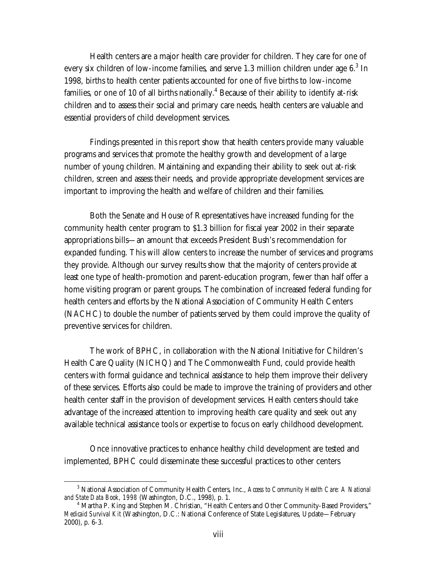Health centers are a major health care provider for children. They care for one of every six children of low-income families, and serve 1.3 million children under age  $6.^3$  In 1998, births to health center patients accounted for one of five births to low-income families, or one of 10 of all births nationally.<sup>4</sup> Because of their ability to identify at-risk children and to assess their social and primary care needs, health centers are valuable and essential providers of child development services.

Findings presented in this report show that health centers provide many valuable programs and services that promote the healthy growth and development of a large number of young children. Maintaining and expanding their ability to seek out at-risk children, screen and assess their needs, and provide appropriate development services are important to improving the health and welfare of children and their families.

Both the Senate and House of Representatives have increased funding for the community health center program to \$1.3 billion for fiscal year 2002 in their separate appropriations bills—an amount that exceeds President Bush's recommendation for expanded funding. This will allow centers to increase the number of services and programs they provide. Although our survey results show that the majority of centers provide at least one type of health-promotion and parent-education program, fewer than half offer a home visiting program or parent groups. The combination of increased federal funding for health centers and efforts by the National Association of Community Health Centers (NACHC) to double the number of patients served by them could improve the quality of preventive services for children.

The work of BPHC, in collaboration with the National Initiative for Children's Health Care Quality (NICHQ) and The Commonwealth Fund, could provide health centers with formal guidance and technical assistance to help them improve their delivery of these services. Efforts also could be made to improve the training of providers and other health center staff in the provision of development services. Health centers should take advantage of the increased attention to improving health care quality and seek out any available technical assistance tools or expertise to focus on early childhood development.

Once innovative practices to enhance healthy child development are tested and implemented, BPHC could disseminate these successful practices to other centers

 $\frac{1}{3}$ <sup>3</sup> National Association of Community Health Centers, Inc., *Access to Community Health Care: A National and State Data Book, 1998* (Washington, D.C., 1998), p. 1. 4

<sup>&</sup>lt;sup>4</sup> Martha P. King and Stephen M. Christian, "Health Centers and Other Community-Based Providers," *Medicaid Survival Kit* (Washington, D.C.: National Conference of State Legislatures, Update—February 2000), p. 6-3.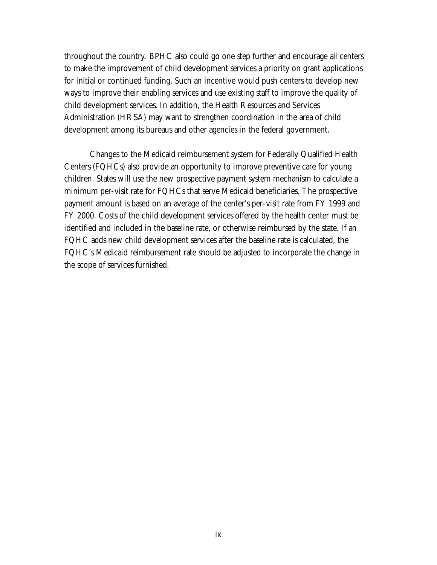throughout the country. BPHC also could go one step further and encourage all centers to make the improvement of child development services a priority on grant applications for initial or continued funding. Such an incentive would push centers to develop new ways to improve their enabling services and use existing staff to improve the quality of child development services. In addition, the Health Resources and Services Administration (HRSA) may want to strengthen coordination in the area of child development among its bureaus and other agencies in the federal government.

Changes to the Medicaid reimbursement system for Federally Qualified Health Centers (FQHCs) also provide an opportunity to improve preventive care for young children. States will use the new prospective payment system mechanism to calculate a minimum per-visit rate for FQHCs that serve Medicaid beneficiaries. The prospective payment amount is based on an average of the center's per-visit rate from FY 1999 and FY 2000. Costs of the child development services offered by the health center must be identified and included in the baseline rate, or otherwise reimbursed by the state. If an FQHC adds new child development services after the baseline rate is calculated, the FQHC's Medicaid reimbursement rate should be adjusted to incorporate the change in the scope of services furnished.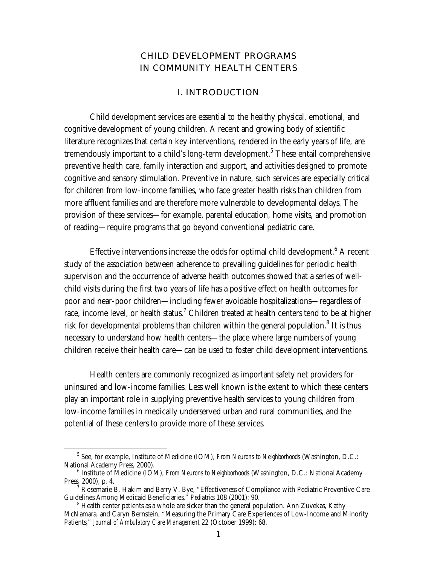# **CHILD DEVELOPMENT PROGRAMS IN COMMUNITY HEALTH CENTERS**

#### **I. INTRODUCTION**

Child development services are essential to the healthy physical, emotional, and cognitive development of young children. A recent and growing body of scientific literature recognizes that certain key interventions, rendered in the early years of life, are tremendously important to a child's long-term development. $5$  These entail comprehensive preventive health care, family interaction and support, and activities designed to promote cognitive and sensory stimulation. Preventive in nature, such services are especially critical for children from low-income families, who face greater health risks than children from more affluent families and are therefore more vulnerable to developmental delays. The provision of these services—for example, parental education, home visits, and promotion of reading—require programs that go beyond conventional pediatric care.

Effective interventions increase the odds for optimal child development.<sup>6</sup> A recent study of the association between adherence to prevailing guidelines for periodic health supervision and the occurrence of adverse health outcomes showed that a series of wellchild visits during the first two years of life has a positive effect on health outcomes for poor and near-poor children—including fewer avoidable hospitalizations—regardless of race, income level, or health status.<sup>7</sup> Children treated at health centers tend to be at higher risk for developmental problems than children within the general population. $^8$  It is thus necessary to understand how health centers—the place where large numbers of young children receive their health care—can be used to foster child development interventions.

Health centers are commonly recognized as important safety net providers for uninsured and low-income families. Less well known is the extent to which these centers play an important role in supplying preventive health services to young children from low-income families in medically underserved urban and rural communities, and the potential of these centers to provide more of these services.

<sup>5</sup> <sup>5</sup> See, for example, Institute of Medicine (IOM), *From Neurons to Neighborhoods* (Washington, D.C.: National Academy Press, 2000).

<sup>&</sup>lt;sup>6</sup> Institute of Medicine (IOM), *From Neurons to Neighborhoods* (Washington, D.C.: National Academy Press, 2000), p. 4. 7

 $\overline{A}$  Rosemarie B. Hakim and Barry V. Bye, "Effectiveness of Compliance with Pediatric Preventive Care Guidelines Among Medicaid Beneficiaries," *Pediatrics* 108 (2001): 90.

<sup>&</sup>lt;sup>8</sup> Health center patients as a whole are sicker than the general population. Ann Zuvekas, Kathy McNamara, and Caryn Bernstein, "Measuring the Primary Care Experiences of Low-Income and Minority Patients," *Journal of Ambulatory Care Management* 22 (October 1999): 68.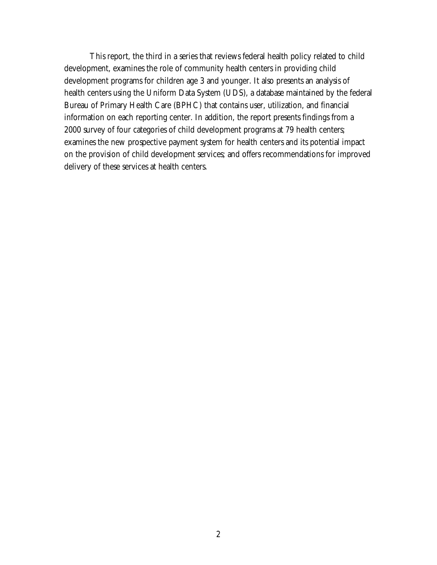This report, the third in a series that reviews federal health policy related to child development, examines the role of community health centers in providing child development programs for children age 3 and younger. It also presents an analysis of health centers using the Uniform Data System (UDS), a database maintained by the federal Bureau of Primary Health Care (BPHC) that contains user, utilization, and financial information on each reporting center. In addition, the report presents findings from a 2000 survey of four categories of child development programs at 79 health centers; examines the new prospective payment system for health centers and its potential impact on the provision of child development services; and offers recommendations for improved delivery of these services at health centers.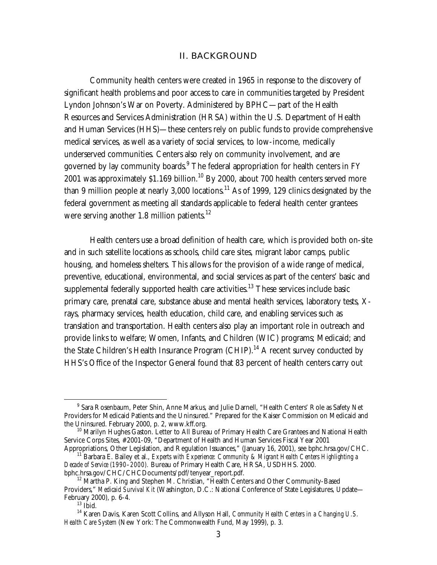#### **II. BACKGROUND**

Community health centers were created in 1965 in response to the discovery of significant health problems and poor access to care in communities targeted by President Lyndon Johnson's War on Poverty. Administered by BPHC—part of the Health Resources and Services Administration (HRSA) within the U.S. Department of Health and Human Services (HHS)—these centers rely on public funds to provide comprehensive medical services, as well as a variety of social services, to low-income, medically underserved communities. Centers also rely on community involvement, and are governed by lay community boards. $^9$  The federal appropriation for health centers in FY 2001 was approximately  $$1.169$  billion.<sup>10</sup> By 2000, about 700 health centers served more than 9 million people at nearly  $3,000$  locations.<sup>11</sup> As of 1999, 129 clinics designated by the federal government as meeting all standards applicable to federal health center grantees were serving another 1.8 million patients. $^{12}$ 

Health centers use a broad definition of health care, which is provided both on-site and in such satellite locations as schools, child care sites, migrant labor camps, public housing, and homeless shelters. This allows for the provision of a wide range of medical, preventive, educational, environmental, and social services as part of the centers' basic and supplemental federally supported health care activities.<sup>13</sup> These services include basic primary care, prenatal care, substance abuse and mental health services, laboratory tests, Xrays, pharmacy services, health education, child care, and enabling services such as translation and transportation. Health centers also play an important role in outreach and provide links to welfare; Women, Infants, and Children (WIC) programs; Medicaid; and the State Children's Health Insurance Program  $\left($ CHIP $\right)$ .<sup>14</sup> A recent survey conducted by HHS's Office of the Inspector General found that 83 percent of health centers carry out

<sup>9</sup> <sup>9</sup> Sara Rosenbaum, Peter Shin, Anne Markus, and Julie Darnell, "Health Centers' Role as Safety Net Providers for Medicaid Patients and the Uninsured." Prepared for the Kaiser Commission on Medicaid and the Uninsured. February 2000, p. 2, www.kff.org.

<sup>&</sup>lt;sup>10</sup> Marilyn Hughes Gaston. Letter to All Bureau of Primary Health Care Grantees and National Health Service Corps Sites, #2001-09, "Department of Health and Human Services Fiscal Year 2001<br>Appropriations, Other Legislation, and Regulation Issuances," (January 16, 2001), see bphc.hrsa.gov/CHC.

<sup>&</sup>lt;sup>11</sup> Barbara E. Bailey et al., *Experts with Experience: Community & Migrant Health Centers Highlighting a Decade of Service (1990–2000).* Bureau of Primary Health Care, HRSA, USDHHS. 2000.

 $^{12}$  Martha P. King and Stephen M. Christian, "Health Centers and Other Community-Based Providers," *Medicaid Survival Kit* (Washington, D.C.: National Conference of State Legislatures, Update— February 2000), p. 6-4. 13 Ibid.

<sup>14</sup> Karen Davis, Karen Scott Collins, and Allyson Hall, *Community Health Centers in a Changing U.S. Health Care System* (New York: The Commonwealth Fund, May 1999), p. 3.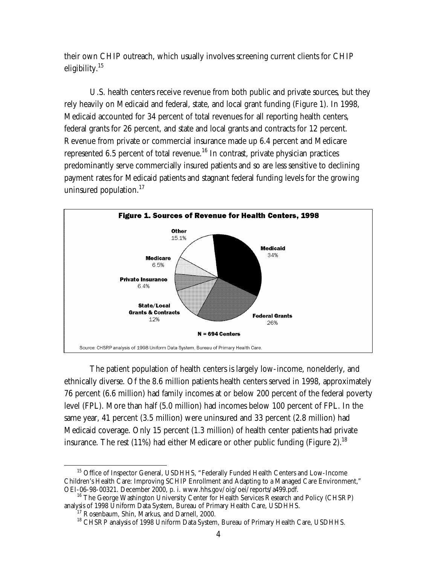their own CHIP outreach, which usually involves screening current clients for CHIP eligibility.<sup>15</sup>

U.S. health centers receive revenue from both public and private sources, but they rely heavily on Medicaid and federal, state, and local grant funding (Figure 1). In 1998, Medicaid accounted for 34 percent of total revenues for all reporting health centers, federal grants for 26 percent, and state and local grants and contracts for 12 percent. Revenue from private or commercial insurance made up 6.4 percent and Medicare represented 6.5 percent of total revenue.<sup>16</sup> In contrast, private physician practices predominantly serve commercially insured patients and so are less sensitive to declining payment rates for Medicaid patients and stagnant federal funding levels for the growing uninsured population. $17$ 



The patient population of health centers is largely low-income, nonelderly, and ethnically diverse. Of the 8.6 million patients health centers served in 1998, approximately 76 percent (6.6 million) had family incomes at or below 200 percent of the federal poverty level (FPL). More than half (5.0 million) had incomes below 100 percent of FPL. In the same year, 41 percent (3.5 million) were uninsured and 33 percent (2.8 million) had Medicaid coverage. Only 15 percent (1.3 million) of health center patients had private insurance. The rest (11%) had either Medicare or other public funding (Figure 2).<sup>18</sup>

<sup>&</sup>lt;sup>15</sup> Office of Inspector General, USDHHS, "Federally Funded Health Centers and Low-Income Children's Health Care: Improving SCHIP Enrollment and Adapting to a Managed Care Environment," OEI-06-98-00321. December 2000, p. i. www.hhs.gov/oig/oei/reports/a499.pdf.<br><sup>16</sup> The George Washington University Center for Health Services Research and Policy (CHSRP)

analysis of 1998 Uniform Data System, Bureau of Primary Health Care, USDHHS. 17 Rosenbaum, Shin, Markus, and Darnell, 2000.

<sup>&</sup>lt;sup>18</sup> CHSRP analysis of 1998 Uniform Data System, Bureau of Primary Health Care, USDHHS.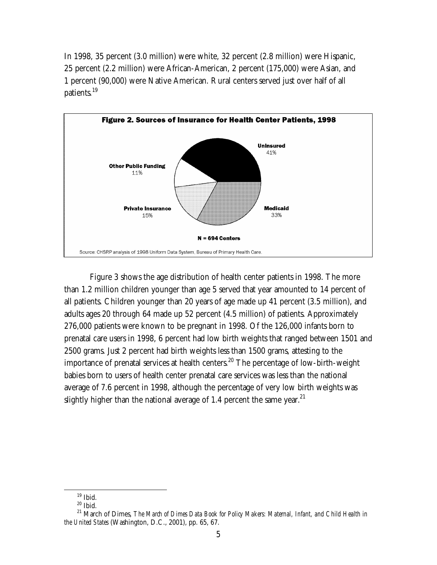In 1998, 35 percent (3.0 million) were white, 32 percent (2.8 million) were Hispanic, 25 percent (2.2 million) were African-American, 2 percent (175,000) were Asian, and 1 percent (90,000) were Native American. Rural centers served just over half of all patients.<sup>19</sup>



Figure 3 shows the age distribution of health center patients in 1998. The more than 1.2 million children younger than age 5 served that year amounted to 14 percent of all patients. Children younger than 20 years of age made up 41 percent (3.5 million), and adults ages 20 through 64 made up 52 percent (4.5 million) of patients. Approximately 276,000 patients were known to be pregnant in 1998. Of the 126,000 infants born to prenatal care users in 1998, 6 percent had low birth weights that ranged between 1501 and 2500 grams. Just 2 percent had birth weights less than 1500 grams, attesting to the importance of prenatal services at health centers.<sup>20</sup> The percentage of low-birth-weight babies born to users of health center prenatal care services was less than the national average of 7.6 percent in 1998, although the percentage of very low birth weights was slightly higher than the national average of 1.4 percent the same year.<sup>21</sup>

 $19$  Ibid.

 $20$  Ibid.

<sup>&</sup>lt;sup>21</sup> March of Dimes, *The March of Dimes Data Book for Policy Makers: Maternal, Infant, and Child Health in the United States* (Washington, D.C., 2001), pp. 65, 67.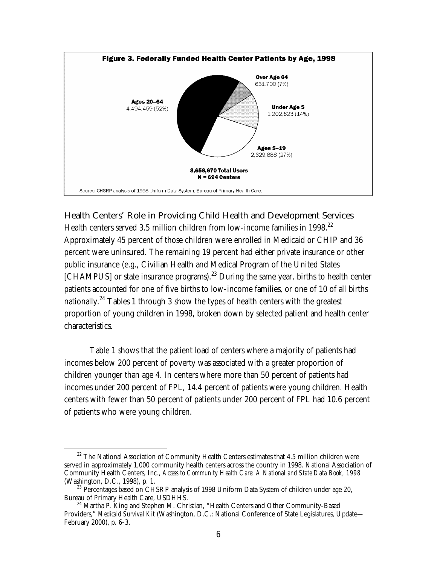

### **Health Centers' Role in Providing Child Health and Development Services**

Health centers served 3.5 million children from low-income families in 1998.<sup>22</sup> Approximately 45 percent of those children were enrolled in Medicaid or CHIP and 36 percent were uninsured. The remaining 19 percent had either private insurance or other public insurance (e.g., Civilian Health and Medical Program of the United States  $[CHAMPUS]$  or state insurance programs).<sup>23</sup> During the same year, births to health center patients accounted for one of five births to low-income families, or one of 10 of all births nationally.<sup>24</sup> Tables 1 through 3 show the types of health centers with the greatest proportion of young children in 1998, broken down by selected patient and health center characteristics.

Table 1 shows that the patient load of centers where a majority of patients had incomes below 200 percent of poverty was associated with a greater proportion of children younger than age 4. In centers where more than 50 percent of patients had incomes under 200 percent of FPL, 14.4 percent of patients were young children. Health centers with fewer than 50 percent of patients under 200 percent of FPL had 10.6 percent of patients who were young children.

<sup>&</sup>lt;sup>22</sup> The National Association of Community Health Centers estimates that 4.5 million children were served in approximately 1,000 community health centers across the country in 1998. National Association of Community Health Centers, Inc., *Access to Community Health Care: A National and State Data Book, 1998*

 $^{23}$  Percentages based on CHSRP analysis of 1998 Uniform Data System of children under age 20, Bureau of Primary Health Care, USDHHS.

<sup>&</sup>lt;sup>24</sup> Martha P. King and Stephen M. Christian, "Health Centers and Other Community-Based Providers," *Medicaid Survival Kit* (Washington, D.C.: National Conference of State Legislatures, Update— February 2000), p. 6-3.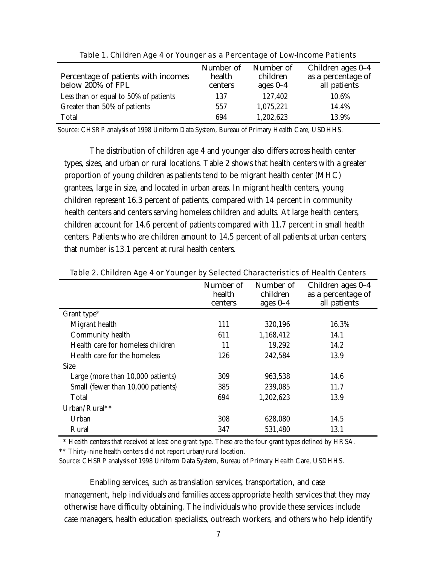| Percentage of patients with incomes<br>below 200% of FPL | Number of<br>health<br>centers | Number of<br>children<br>ages $0-4$ | Children ages 0-4<br>as a percentage of<br>all patients |
|----------------------------------------------------------|--------------------------------|-------------------------------------|---------------------------------------------------------|
| Less than or equal to 50% of patients                    | 137                            | 127,402                             | 10.6%                                                   |
| Greater than 50% of patients                             | 557                            | 1,075,221                           | 14.4%                                                   |
| Total                                                    | 694                            | 1,202,623                           | 13.9%                                                   |

|  |  | Table 1. Children Age 4 or Younger as a Percentage of Low-Income Patients |
|--|--|---------------------------------------------------------------------------|
|  |  |                                                                           |

Source: CHSRP analysis of 1998 Uniform Data System, Bureau of Primary Health Care, USDHHS.

The distribution of children age 4 and younger also differs across health center types, sizes, and urban or rural locations. Table 2 shows that health centers with a greater proportion of young children as patients tend to be migrant health center (MHC) grantees, large in size, and located in urban areas. In migrant health centers, young children represent 16.3 percent of patients, compared with 14 percent in community health centers and centers serving homeless children and adults. At large health centers, children account for 14.6 percent of patients compared with 11.7 percent in small health centers. Patients who are children amount to 14.5 percent of all patients at urban centers; that number is 13.1 percent at rural health centers.

|                                    | Number of<br>health<br>centers | Number of<br>children<br>ages $0-4$ | Children ages 0-4<br>as a percentage of<br>all patients |
|------------------------------------|--------------------------------|-------------------------------------|---------------------------------------------------------|
| Grant type*                        |                                |                                     |                                                         |
| Migrant health                     | 111                            | 320,196                             | 16.3%                                                   |
| Community health                   | 611                            | 1,168,412                           | 14.1                                                    |
| Health care for homeless children  | 11                             | 19,292                              | 14.2                                                    |
| Health care for the homeless       | 126                            | 242,584                             | 13.9                                                    |
| <b>Size</b>                        |                                |                                     |                                                         |
| Large (more than 10,000 patients)  | 309                            | 963,538                             | 14.6                                                    |
| Small (fewer than 10,000 patients) | 385                            | 239,085                             | 11.7                                                    |
| Total                              | 694                            | 1,202,623                           | 13.9                                                    |
| Urban/Rural**                      |                                |                                     |                                                         |
| Urban                              | 308                            | 628,080                             | 14.5                                                    |
| Rural                              | 347                            | 531,480                             | 13.1                                                    |

#### Table 2. Children Age 4 or Younger by Selected Characteristics of Health Centers

 \* Health centers that received at least one grant type. These are the four grant types defined by HRSA. \*\* Thirty-nine health centers did not report urban/rural location.

Source: CHSRP analysis of 1998 Uniform Data System, Bureau of Primary Health Care, USDHHS.

Enabling services, such as translation services, transportation, and case management, help individuals and families access appropriate health services that they may otherwise have difficulty obtaining. The individuals who provide these services include case managers, health education specialists, outreach workers, and others who help identify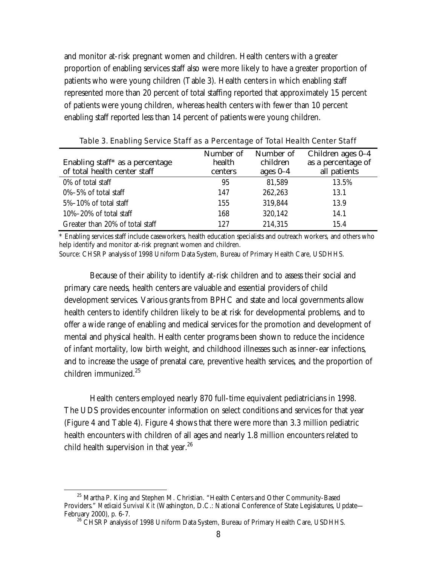and monitor at-risk pregnant women and children. Health centers with a greater proportion of enabling services staff also were more likely to have a greater proportion of patients who were young children (Table 3). Health centers in which enabling staff represented more than 20 percent of total staffing reported that approximately 15 percent of patients were young children, whereas health centers with fewer than 10 percent enabling staff reported less than 14 percent of patients were young children.

| Enabling staff* as a percentage<br>of total health center staff | Number of<br>health<br>centers | Number of<br>children<br>ages $0-4$ | Children ages 0-4<br>as a percentage of<br>all patients |
|-----------------------------------------------------------------|--------------------------------|-------------------------------------|---------------------------------------------------------|
| 0% of total staff                                               | 95                             | 81,589                              | 13.5%                                                   |
| $0\% - 5\%$ of total staff                                      | 147                            | 262,263                             | 13.1                                                    |
| $5\% - 10\%$ of total staff                                     | 155                            | 319,844                             | 13.9                                                    |
| $10\% - 20\%$ of total staff                                    | 168                            | 320,142                             | 14.1                                                    |
| Greater than 20% of total staff                                 | 127                            | 214,315                             | 15.4                                                    |

Table 3. Enabling Service Staff as a Percentage of Total Health Center Staff

\* Enabling services staff include caseworkers, health education specialists and outreach workers, and others who help identify and monitor at-risk pregnant women and children.

Source: CHSRP analysis of 1998 Uniform Data System, Bureau of Primary Health Care, USDHHS.

Because of their ability to identify at-risk children and to assess their social and primary care needs, health centers are valuable and essential providers of child development services. Various grants from BPHC and state and local governments allow health centers to identify children likely to be at risk for developmental problems, and to offer a wide range of enabling and medical services for the promotion and development of mental and physical health. Health center programs been shown to reduce the incidence of infant mortality, low birth weight, and childhood illnesses such as inner-ear infections, and to increase the usage of prenatal care, preventive health services, and the proportion of children immunized.<sup>25</sup>

Health centers employed nearly 870 full-time equivalent pediatricians in 1998. The UDS provides encounter information on select conditions and services for that year (Figure 4 and Table 4). Figure 4 shows that there were more than 3.3 million pediatric health encounters with children of all ages and nearly 1.8 million encounters related to child health supervision in that year.<sup>26</sup>

<sup>&</sup>lt;sup>25</sup> Martha P. King and Stephen M. Christian. "Health Centers and Other Community-Based Providers." *Medicaid Survival Kit* (Washington, D.C.: National Conference of State Legislatures, Update— February 2000), p. 6-7.<br><sup>26</sup> CHSRP analysis of 1998 Uniform Data System, Bureau of Primary Health Care, USDHHS.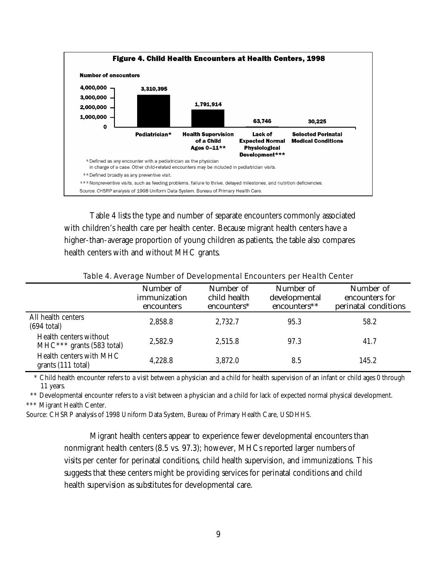

Table 4 lists the type and number of separate encounters commonly associated with children's health care per health center. Because migrant health centers have a higher-than-average proportion of young children as patients, the table also compares health centers with and without MHC grants.

|                                                       | Number of<br>immunization<br>encounters | Number of<br>child health<br>encounters* | Number of<br>developmental<br>encounters** | Number of<br>encounters for<br>perinatal conditions |
|-------------------------------------------------------|-----------------------------------------|------------------------------------------|--------------------------------------------|-----------------------------------------------------|
| All health centers<br>$(694 \text{ total})$           | 2,858.8                                 | 2,732.7                                  | 95.3                                       | 58.2                                                |
| Health centers without<br>$MHC***$ grants (583 total) | 2,582.9                                 | 2,515.8                                  | 97.3                                       | 41.7                                                |
| Health centers with MHC<br>grants (111 total)         | 4,228.8                                 | 3,872.0                                  | 8.5                                        | 145.2                                               |

Table 4. Average Number of Developmental Encounters per Health Center

 \* Child health encounter refers to a visit between a physician and a child for health supervision of an infant or child ages 0 through 11 years.

 \*\* Developmental encounter refers to a visit between a physician and a child for lack of expected normal physical development. \*\*\* Migrant Health Center.

Source: CHSRP analysis of 1998 Uniform Data System, Bureau of Primary Health Care, USDHHS.

Migrant health centers appear to experience fewer developmental encounters than nonmigrant health centers (8.5 vs. 97.3); however, MHCs reported larger numbers of visits per center for perinatal conditions, child health supervision, and immunizations. This suggests that these centers might be providing services for perinatal conditions and child health supervision as substitutes for developmental care.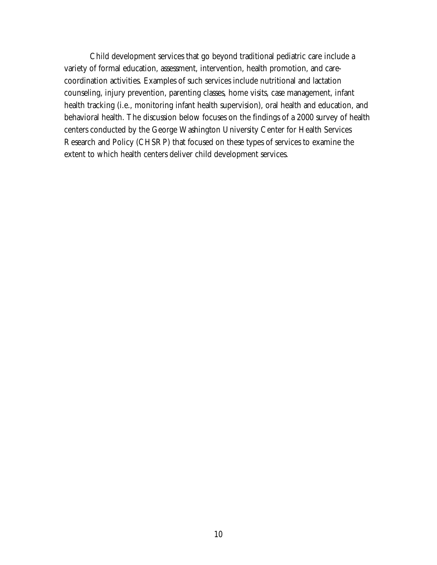Child development services that go beyond traditional pediatric care include a variety of formal education, assessment, intervention, health promotion, and carecoordination activities. Examples of such services include nutritional and lactation counseling, injury prevention, parenting classes, home visits, case management, infant health tracking (i.e., monitoring infant health supervision), oral health and education, and behavioral health. The discussion below focuses on the findings of a 2000 survey of health centers conducted by the George Washington University Center for Health Services Research and Policy (CHSRP) that focused on these types of services to examine the extent to which health centers deliver child development services.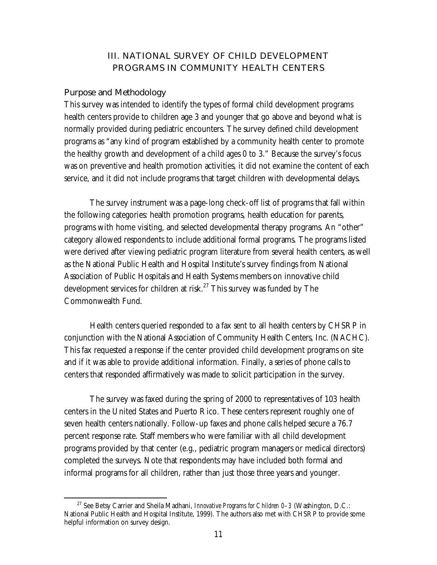# **III. NATIONAL SURVEY OF CHILD DEVELOPMENT PROGRAMS IN COMMUNITY HEALTH CENTERS**

#### **Purpose and Methodology**

This survey was intended to identify the types of formal child development programs health centers provide to children age 3 and younger that go above and beyond what is normally provided during pediatric encounters. The survey defined child development programs as "any kind of program established by a community health center to promote the healthy growth and development of a child ages 0 to 3." Because the survey's focus was on preventive and health promotion activities, it did not examine the content of each service, and it did not include programs that target children with developmental delays.

The survey instrument was a page-long check-off list of programs that fall within the following categories: health promotion programs, health education for parents, programs with home visiting, and selected developmental therapy programs. An "other" category allowed respondents to include additional formal programs. The programs listed were derived after viewing pediatric program literature from several health centers, as well as the National Public Health and Hospital Institute's survey findings from National Association of Public Hospitals and Health Systems members on innovative child development services for children at risk.<sup>27</sup> This survey was funded by The Commonwealth Fund.

Health centers queried responded to a fax sent to all health centers by CHSRP in conjunction with the National Association of Community Health Centers, Inc. (NACHC). This fax requested a response if the center provided child development programs on site and if it was able to provide additional information. Finally, a series of phone calls to centers that responded affirmatively was made to solicit participation in the survey.

The survey was faxed during the spring of 2000 to representatives of 103 health centers in the United States and Puerto Rico. These centers represent roughly one of seven health centers nationally. Follow-up faxes and phone calls helped secure a 76.7 percent response rate. Staff members who were familiar with all child development programs provided by that center (e.g., pediatric program managers or medical directors) completed the surveys. Note that respondents may have included both formal and informal programs for all children, rather than just those three years and younger.

27 See Betsy Carrier and Sheila Madhani, *Innovative Programs for Children 0–3* (Washington, D.C.: National Public Health and Hospital Institute, 1999). The authors also met with CHSRP to provide some helpful information on survey design.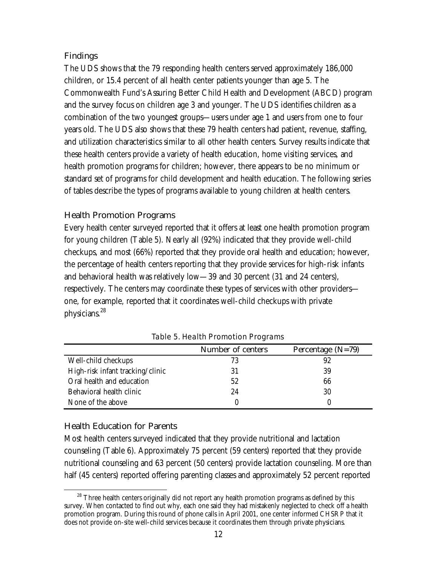### **Findings**

The UDS shows that the 79 responding health centers served approximately 186,000 children, or 15.4 percent of all health center patients younger than age 5. The Commonwealth Fund's Assuring Better Child Health and Development (ABCD) program and the survey focus on children age 3 and younger. The UDS identifies children as a combination of the two youngest groups—users under age 1 and users from one to four years old. The UDS also shows that these 79 health centers had patient, revenue, staffing, and utilization characteristics similar to all other health centers. Survey results indicate that these health centers provide a variety of health education, home visiting services, and health promotion programs for children; however, there appears to be no minimum or standard set of programs for child development and health education. The following series of tables describe the types of programs available to young children at health centers.

### **Health Promotion Programs**

Every health center surveyed reported that it offers at least one health promotion program for young children (Table 5). Nearly all (92%) indicated that they provide well-child checkups, and most (66%) reported that they provide oral health and education; however, the percentage of health centers reporting that they provide services for high-risk infants and behavioral health was relatively low—39 and 30 percent (31 and 24 centers), respectively. The centers may coordinate these types of services with other providers one, for example, reported that it coordinates well-child checkups with private physicians.<sup>28</sup>

|                                  | Number of centers | Percentage $(N=79)$ |
|----------------------------------|-------------------|---------------------|
| Well-child checkups              | 73                | 92                  |
| High-risk infant tracking/clinic | 31                | 39                  |
| Oral health and education        | 52                | 66                  |
| Behavioral health clinic         | 24                | 30                  |
| None of the above                |                   |                     |

Table 5. Health Promotion Programs

### **Health Education for Parents**

Most health centers surveyed indicated that they provide nutritional and lactation counseling (Table 6). Approximately 75 percent (59 centers) reported that they provide nutritional counseling and 63 percent (50 centers) provide lactation counseling. More than half (45 centers) reported offering parenting classes and approximately 52 percent reported

<sup>&</sup>lt;sup>28</sup> Three health centers originally did not report any health promotion programs as defined by this survey. When contacted to find out why, each one said they had mistakenly neglected to check off a health promotion program. During this round of phone calls in April 2001, one center informed CHSRP that it does not provide on-site well-child services because it coordinates them through private physicians.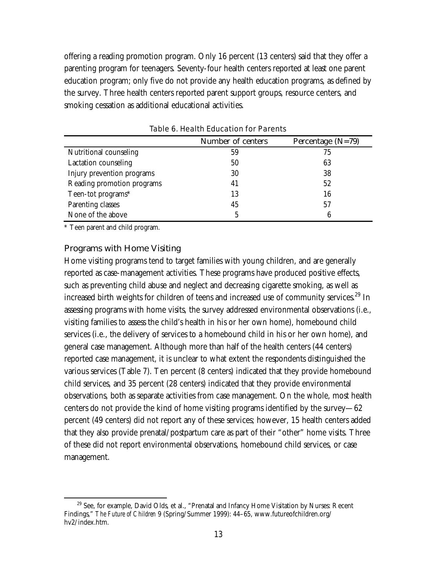offering a reading promotion program. Only 16 percent (13 centers) said that they offer a parenting program for teenagers. Seventy-four health centers reported at least one parent education program; only five do not provide any health education programs, as defined by the survey. Three health centers reported parent support groups, resource centers, and smoking cessation as additional educational activities.

| <b>Number of centers</b> | Percentage $(N=79)$ |
|--------------------------|---------------------|
| 59                       | 75                  |
| 50                       | 63                  |
| 30                       | 38                  |
| 41                       | 52                  |
| 13                       | 16                  |
| 45                       | 57                  |
| 5                        | 6                   |
|                          |                     |

Table 6. Health Education for Parents

\* Teen parent and child program.

#### **Programs with Home Visiting**

Home visiting programs tend to target families with young children, and are generally reported as case-management activities. These programs have produced positive effects, such as preventing child abuse and neglect and decreasing cigarette smoking, as well as increased birth weights for children of teens and increased use of community services.<sup>29</sup> In assessing programs with home visits, the survey addressed environmental observations (i.e., visiting families to assess the child's health in his or her own home), homebound child services (i.e., the delivery of services to a homebound child in his or her own home), and general case management. Although more than half of the health centers (44 centers) reported case management, it is unclear to what extent the respondents distinguished the various services (Table 7). Ten percent (8 centers) indicated that they provide homebound child services, and 35 percent (28 centers) indicated that they provide environmental observations, both as separate activities from case management. On the whole, most health centers do not provide the kind of home visiting programs identified by the survey—62 percent (49 centers) did not report any of these services; however, 15 health centers added that they also provide prenatal/postpartum care as part of their "other" home visits. Three of these did not report environmental observations, homebound child services, or case management.

 $29$  See, for example, David Olds, et al., "Prenatal and Infancy Home Visitation by Nurses: Recent Findings," *The Future of Children* 9 (Spring/Summer 1999): 44–65, www.futureofchildren.org/ hv2/index.htm.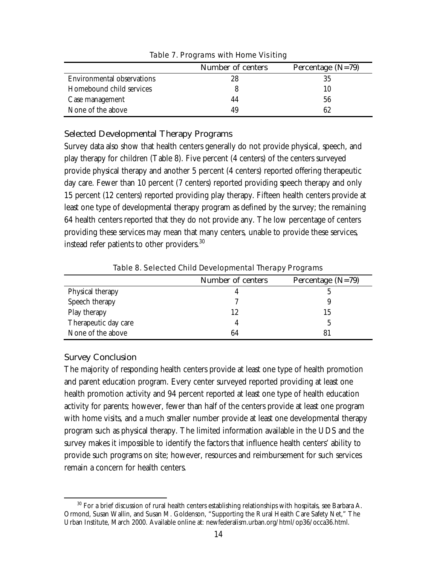|                            | Number of centers | Percentage $(N=79)$ |
|----------------------------|-------------------|---------------------|
| Environmental observations | 28                | 35                  |
| Homebound child services   |                   | 10                  |
| Case management            | 44                | 56                  |
| None of the above          | 49                | 62                  |

Table 7. Programs with Home Visiting

### **Selected Developmental Therapy Programs**

Survey data also show that health centers generally do not provide physical, speech, and play therapy for children (Table 8). Five percent (4 centers) of the centers surveyed provide physical therapy and another 5 percent (4 centers) reported offering therapeutic day care. Fewer than 10 percent (7 centers) reported providing speech therapy and only 15 percent (12 centers) reported providing play therapy. Fifteen health centers provide at least one type of developmental therapy program as defined by the survey; the remaining 64 health centers reported that they do not provide any. The low percentage of centers providing these services may mean that many centers, unable to provide these services, instead refer patients to other providers.<sup>30</sup>

|                      | <b>Number of centers</b> | Percentage $(N=79)$ |
|----------------------|--------------------------|---------------------|
| Physical therapy     |                          |                     |
| Speech therapy       |                          |                     |
| Play therapy         | 12                       | 15                  |
| Therapeutic day care |                          |                     |
| None of the above    | 64                       | 81                  |
|                      |                          |                     |

Table 8. Selected Child Developmental Therapy Programs

### **Survey Conclusion**

The majority of responding health centers provide at least one type of health promotion and parent education program. Every center surveyed reported providing at least one health promotion activity and 94 percent reported at least one type of health education activity for parents; however, fewer than half of the centers provide at least one program with home visits, and a much smaller number provide at least one developmental therapy program such as physical therapy. The limited information available in the UDS and the survey makes it impossible to identify the factors that influence health centers' ability to provide such programs on site; however, resources and reimbursement for such services remain a concern for health centers.

 $30$  For a brief discussion of rural health centers establishing relationships with hospitals, see Barbara A. Ormond, Susan Wallin, and Susan M. Goldenson, "Supporting the Rural Health Care Safety Net," The Urban Institute, March 2000. Available online at: newfederalism.urban.org/html/op36/occa36.html.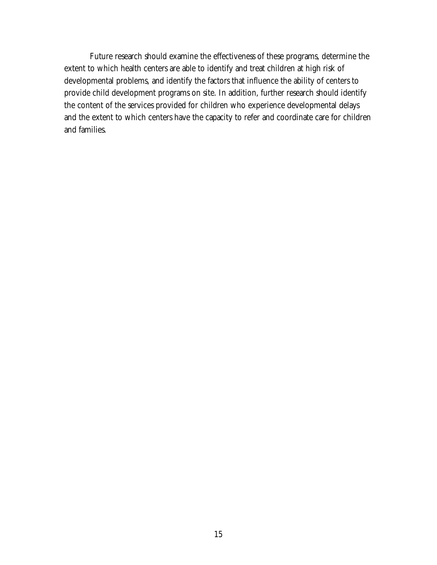Future research should examine the effectiveness of these programs, determine the extent to which health centers are able to identify and treat children at high risk of developmental problems, and identify the factors that influence the ability of centers to provide child development programs on site. In addition, further research should identify the content of the services provided for children who experience developmental delays and the extent to which centers have the capacity to refer and coordinate care for children and families.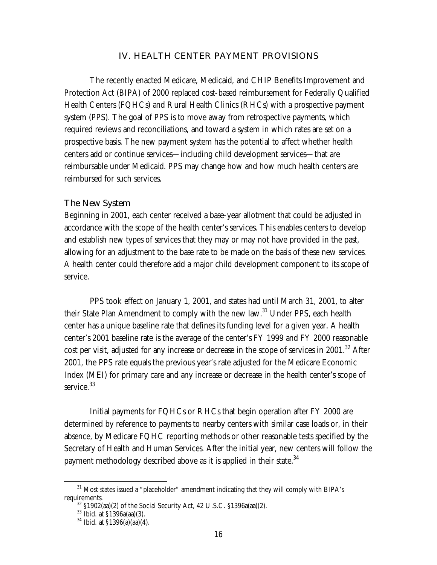#### **IV. HEALTH CENTER PAYMENT PROVISIONS**

The recently enacted Medicare, Medicaid, and CHIP Benefits Improvement and Protection Act (BIPA) of 2000 replaced cost-based reimbursement for Federally Qualified Health Centers (FQHCs) and Rural Health Clinics (RHCs) with a prospective payment system (PPS). The goal of PPS is to move away from retrospective payments, which required reviews and reconciliations, and toward a system in which rates are set on a prospective basis. The new payment system has the potential to affect whether health centers add or continue services—including child development services—that are reimbursable under Medicaid. PPS may change how and how much health centers are reimbursed for such services.

#### **The New System**

Beginning in 2001, each center received a base-year allotment that could be adjusted in accordance with the scope of the health center's services. This enables centers to develop and establish new types of services that they may or may not have provided in the past, allowing for an adjustment to the base rate to be made on the basis of these new services. A health center could therefore add a major child development component to its scope of service.

PPS took effect on January 1, 2001, and states had until March 31, 2001, to alter their State Plan Amendment to comply with the new law.<sup>31</sup> Under PPS, each health center has a unique baseline rate that defines its funding level for a given year. A health center's 2001 baseline rate is the average of the center's FY 1999 and FY 2000 reasonable cost per visit, adjusted for any increase or decrease in the scope of services in  $2001$ .<sup>32</sup> After 2001, the PPS rate equals the previous year's rate adjusted for the Medicare Economic Index (MEI) for primary care and any increase or decrease in the health center's scope of service.<sup>33</sup>

Initial payments for FQHCs or RHCs that begin operation after FY 2000 are determined by reference to payments to nearby centers with similar case loads or, in their absence, by Medicare FQHC reporting methods or other reasonable tests specified by the Secretary of Health and Human Services. After the initial year, new centers will follow the payment methodology described above as it is applied in their state.<sup>34</sup>

 $31$  Most states issued a "placeholder" amendment indicating that they will comply with BIPA's requirements.<br><sup>32</sup> §1902(aa)(2) of the Social Security Act, 42 U.S.C. §1396a(aa)(2).<br><sup>33</sup> Ibid. at §1396a(aa)(3).

<sup>34</sup> Ibid. at §1396(a)(aa)(4).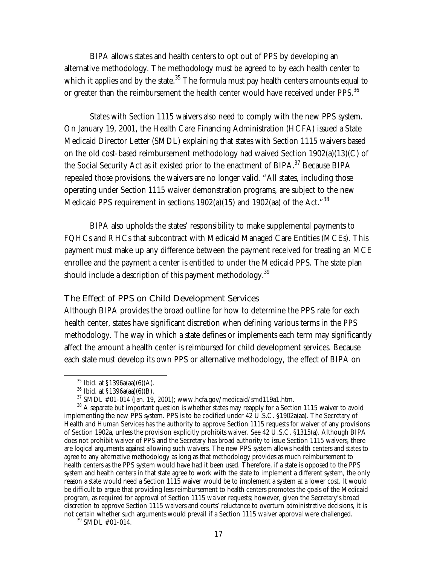BIPA allows states and health centers to opt out of PPS by developing an alternative methodology. The methodology must be agreed to by each health center to which it applies and by the state. $35$  The formula must pay health centers amounts equal to or greater than the reimbursement the health center would have received under PPS.<sup>36</sup>

States with Section 1115 waivers also need to comply with the new PPS system. On January 19, 2001, the Health Care Financing Administration (HCFA) issued a State Medicaid Director Letter (SMDL) explaining that states with Section 1115 waivers based on the old cost-based reimbursement methodology had waived Section 1902(a)(13)(C) of the Social Security Act as it existed prior to the enactment of BIPA.<sup>37</sup> Because BIPA repealed those provisions, the waivers are no longer valid. "All states, including those operating under Section 1115 waiver demonstration programs, are subject to the new Medicaid PPS requirement in sections  $1902(a)(15)$  and  $1902(aa)$  of the Act."<sup>38</sup>

BIPA also upholds the states' responsibility to make supplemental payments to FQHCs and RHCs that subcontract with Medicaid Managed Care Entities (MCEs). This payment must make up any difference between the payment received for treating an MCE enrollee and the payment a center is entitled to under the Medicaid PPS. The state plan should include a description of this payment methodology.<sup>39</sup>

#### **The Effect of PPS on Child Development Services**

Although BIPA provides the broad outline for how to determine the PPS rate for each health center, states have significant discretion when defining various terms in the PPS methodology. The way in which a state defines or implements each term may significantly affect the amount a health center is reimbursed for child development services. Because each state must develop its own PPS or alternative methodology, the effect of BIPA on

 $35$  Ibid. at  $$1396a(aa)(6)(A)$ .

 $^{36}$  Ibid. at §1396a(aa)(6)(B).<br> $^{37}$  SMDL #01-014 (Jan. 19, 2001); www.hcfa.gov/medicaid/smd119a1.htm.

 $38$  A separate but important question is whether states may reapply for a Section 1115 waiver to avoid implementing the new PPS system. PPS is to be codified under  $42 \text{ U.S.C. }$  §1902a(aa). The Secretary of Health and Human Services has the authority to approve Section 1115 requests for waiver of any provisions of Section 1902a, unless the provision explicitly prohibits waiver. See 42 U.S.C. §1315(a). Although BIPA does not prohibit waiver of PPS and the Secretary has broad authority to issue Section 1115 waivers, there are logical arguments against allowing such waivers. The new PPS system allows health centers and states to agree to any alternative methodology as long as that methodology provides as much reimbursement to health centers as the PPS system would have had it been used. Therefore, if a state is opposed to the PPS system and health centers in that state agree to work with the state to implement a different system, the only reason a state would need a Section 1115 waiver would be to implement a system at a lower cost. It would be difficult to argue that providing less reimbursement to health centers promotes the goals of the Medicaid program, as required for approval of Section 1115 waiver requests; however, given the Secretary's broad discretion to approve Section 1115 waivers and courts' reluctance to overturn administrative decisions, it is not certain whether such arguments would prevail if a Section 1115 waiver approval were challenged.  $39$  SMDL #01-014.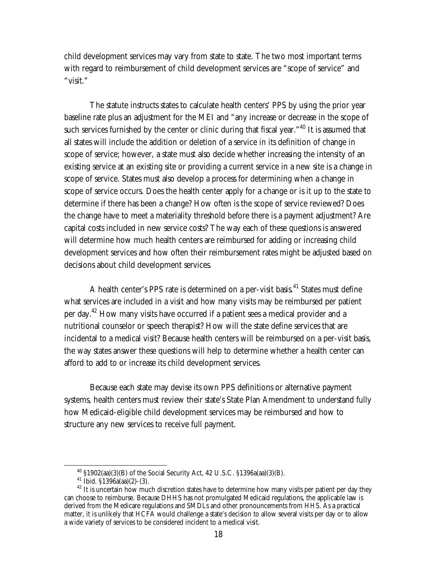child development services may vary from state to state. The two most important terms with regard to reimbursement of child development services are "scope of service" and "visit."

The statute instructs states to calculate health centers' PPS by using the prior year baseline rate plus an adjustment for the MEI and "any increase or decrease in the scope of such services furnished by the center or clinic during that fiscal year."<sup>40</sup> It is assumed that all states will include the addition or deletion of a service in its definition of change in scope of service; however, a state must also decide whether increasing the intensity of an existing service at an existing site or providing a current service in a new site is a change in scope of service. States must also develop a process for determining when a change in scope of service occurs. Does the health center apply for a change or is it up to the state to determine if there has been a change? How often is the scope of service reviewed? Does the change have to meet a materiality threshold before there is a payment adjustment? Are capital costs included in new service costs? The way each of these questions is answered will determine how much health centers are reimbursed for adding or increasing child development services and how often their reimbursement rates might be adjusted based on decisions about child development services.

A health center's PPS rate is determined on a per-visit basis.<sup>41</sup> States must define what services are included in a visit and how many visits may be reimbursed per patient per day.<sup>42</sup> How many visits have occurred if a patient sees a medical provider and a nutritional counselor or speech therapist? How will the state define services that are incidental to a medical visit? Because health centers will be reimbursed on a per-visit basis, the way states answer these questions will help to determine whether a health center can afford to add to or increase its child development services.

Because each state may devise its own PPS definitions or alternative payment systems, health centers must review their state's State Plan Amendment to understand fully how Medicaid-eligible child development services may be reimbursed and how to structure any new services to receive full payment.

 $^{40}$  §1902(aa)(3)(B) of the Social Security Act, 42 U.S.C. §1396a(aa)(3)(B).  $^{41}$  Ibid. §1396a(aa)(2)-(3).

 $42$  It is uncertain how much discretion states have to determine how many visits per patient per day they can choose to reimburse. Because DHHS has not promulgated Medicaid regulations, the applicable law is derived from the Medicare regulations and SMDLs and other pronouncements from HHS. As a practical matter, it is unlikely that HCFA would challenge a state's decision to allow several visits per day or to allow a wide variety of services to be considered incident to a medical visit.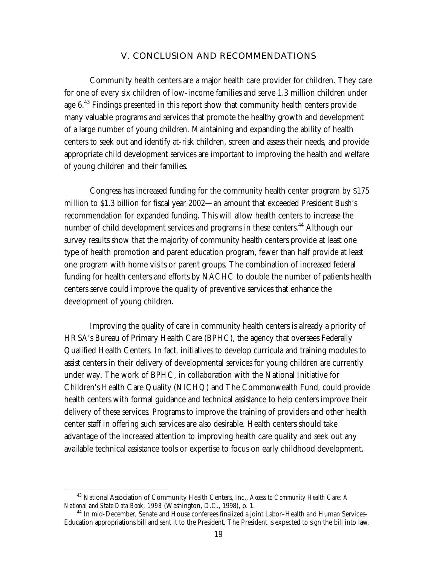#### **V. CONCLUSION AND RECOMMENDATIONS**

Community health centers are a major health care provider for children. They care for one of every six children of low-income families and serve 1.3 million children under age  $6<sup>43</sup>$  Findings presented in this report show that community health centers provide many valuable programs and services that promote the healthy growth and development of a large number of young children. Maintaining and expanding the ability of health centers to seek out and identify at-risk children, screen and assess their needs, and provide appropriate child development services are important to improving the health and welfare of young children and their families.

Congress has increased funding for the community health center program by \$175 million to \$1.3 billion for fiscal year 2002—an amount that exceeded President Bush's recommendation for expanded funding. This will allow health centers to increase the number of child development services and programs in these centers.<sup>44</sup> Although our survey results show that the majority of community health centers provide at least one type of health promotion and parent education program, fewer than half provide at least one program with home visits or parent groups. The combination of increased federal funding for health centers and efforts by NACHC to double the number of patients health centers serve could improve the quality of preventive services that enhance the development of young children.

Improving the quality of care in community health centers is already a priority of HRSA's Bureau of Primary Health Care (BPHC), the agency that oversees Federally Qualified Health Centers. In fact, initiatives to develop curricula and training modules to assist centers in their delivery of developmental services for young children are currently under way. The work of BPHC, in collaboration with the National Initiative for Children's Health Care Quality (NICHQ) and The Commonwealth Fund, could provide health centers with formal guidance and technical assistance to help centers improve their delivery of these services. Programs to improve the training of providers and other health center staff in offering such services are also desirable. Health centers should take advantage of the increased attention to improving health care quality and seek out any available technical assistance tools or expertise to focus on early childhood development.

<sup>&</sup>lt;sup>43</sup> National Association of Community Health Centers, Inc., *Access to Community Health Care: A National and State Data Book, 1998* (Washington, D.C., 1998), p. 1.

<sup>&</sup>lt;sup>44</sup> In mid-December, Senate and House conferees finalized a joint Labor–Health and Human Services– Education appropriations bill and sent it to the President. The President is expected to sign the bill into law.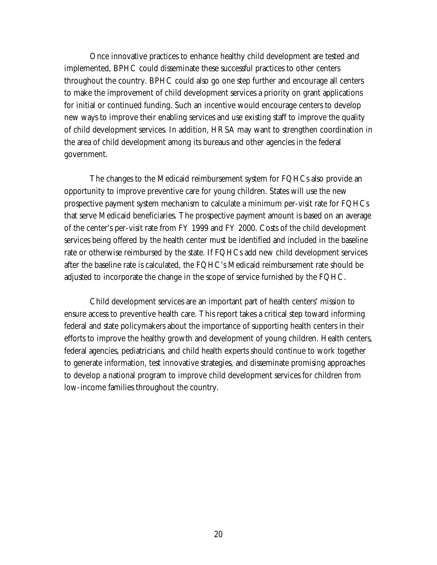Once innovative practices to enhance healthy child development are tested and implemented, BPHC could disseminate these successful practices to other centers throughout the country. BPHC could also go one step further and encourage all centers to make the improvement of child development services a priority on grant applications for initial or continued funding. Such an incentive would encourage centers to develop new ways to improve their enabling services and use existing staff to improve the quality of child development services. In addition, HRSA may want to strengthen coordination in the area of child development among its bureaus and other agencies in the federal government.

The changes to the Medicaid reimbursement system for FQHCs also provide an opportunity to improve preventive care for young children. States will use the new prospective payment system mechanism to calculate a minimum per-visit rate for FQHCs that serve Medicaid beneficiaries. The prospective payment amount is based on an average of the center's per-visit rate from FY 1999 and FY 2000. Costs of the child development services being offered by the health center must be identified and included in the baseline rate or otherwise reimbursed by the state. If FQHCs add new child development services after the baseline rate is calculated, the FQHC's Medicaid reimbursement rate should be adjusted to incorporate the change in the scope of service furnished by the FQHC.

Child development services are an important part of health centers' mission to ensure access to preventive health care. This report takes a critical step toward informing federal and state policymakers about the importance of supporting health centers in their efforts to improve the healthy growth and development of young children. Health centers, federal agencies, pediatricians, and child health experts should continue to work together to generate information, test innovative strategies, and disseminate promising approaches to develop a national program to improve child development services for children from low-income families throughout the country.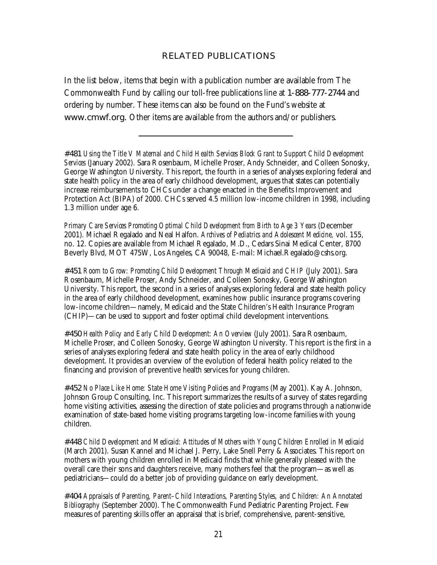#### **RELATED PUBLICATIONS**

In the list below, items that begin with a publication number are available from The Commonwealth Fund by calling our toll-free publications line at **1-888-777-2744** and ordering by number. These items can also be found on the Fund's website at **www.cmwf.org.** Other items are available from the authors and/or publishers.

**#481** *Using the Title V Maternal and Child Health Services Block Grant to Support Child Development Services* (January 2002). Sara Rosenbaum, Michelle Proser, Andy Schneider, and Colleen Sonosky, George Washington University. This report, the fourth in a series of analyses exploring federal and state health policy in the area of early childhood development, argues that states can potentially increase reimbursements to CHCs under a change enacted in the Benefits Improvement and Protection Act (BIPA) of 2000. CHCs served 4.5 million low-income children in 1998, including 1.3 million under age 6.

*Primary Care Services Promoting Optimal Child Development from Birth to Age 3 Years* (December 2001). Michael Regalado and Neal Halfon. *Archives of Pediatrics and Adolescent Medicine,* vol. 155, no. 12. Copies are available from Michael Regalado, M.D., Cedars Sinai Medical Center, 8700 Beverly Blvd, MOT 475W, Los Angeles, CA 90048, E-mail: Michael.Regalado@cshs.org.

**#451** *Room to Grow: Promoting Child Development Through Medicaid and CHIP* (July 2001). Sara Rosenbaum, Michelle Proser, Andy Schneider, and Colleen Sonosky, George Washington University. This report, the second in a series of analyses exploring federal and state health policy in the area of early childhood development, examines how public insurance programs covering low-income children—namely, Medicaid and the State Children's Health Insurance Program (CHIP)—can be used to support and foster optimal child development interventions.

**#450** *Health Policy and Early Child Development: An Overview* (July 2001). Sara Rosenbaum, Michelle Proser, and Colleen Sonosky, George Washington University. This report is the first in a series of analyses exploring federal and state health policy in the area of early childhood development. It provides an overview of the evolution of federal health policy related to the financing and provision of preventive health services for young children.

**#452** *No Place Like Home: State Home Visiting Policies and Programs* (May 2001). Kay A. Johnson, Johnson Group Consulting, Inc. This report summarizes the results of a survey of states regarding home visiting activities, assessing the direction of state policies and programs through a nationwide examination of state-based home visiting programs targeting low-income families with young children.

**#448** *Child Development and Medicaid: Attitudes of Mothers with Young Children Enrolled in Medicaid*  (March 2001). Susan Kannel and Michael J. Perry, Lake Snell Perry & Associates. This report on mothers with young children enrolled in Medicaid finds that while generally pleased with the overall care their sons and daughters receive, many mothers feel that the program—as well as pediatricians—could do a better job of providing guidance on early development.

**#404** *Appraisals of Parenting, Parent–Child Interactions, Parenting Styles, and Children: An Annotated Bibliography* (September 2000). The Commonwealth Fund Pediatric Parenting Project. Few measures of parenting skills offer an appraisal that is brief, comprehensive, parent-sensitive,